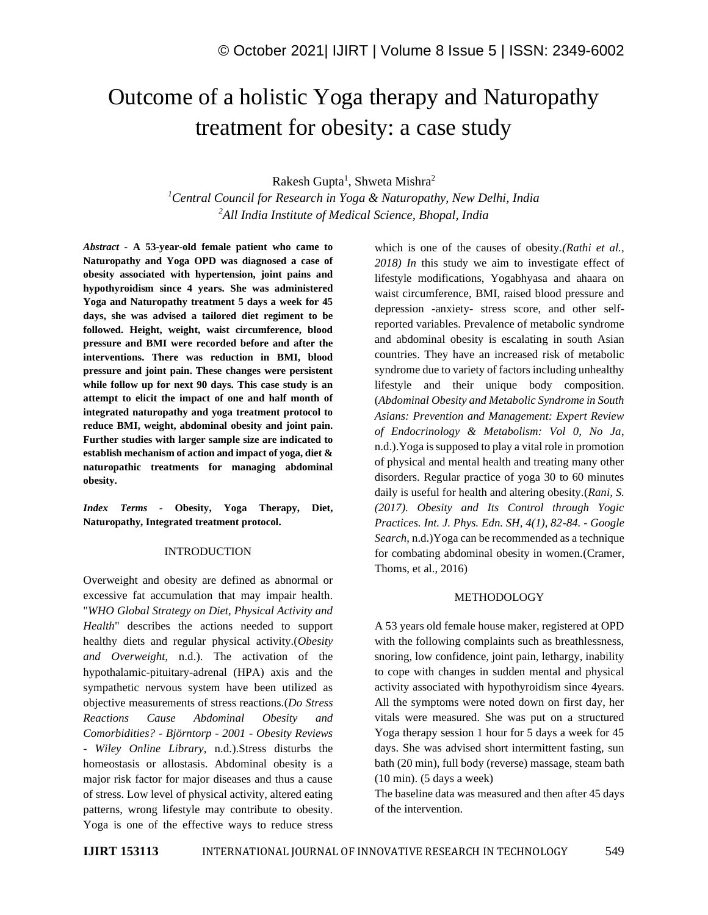# Outcome of a holistic Yoga therapy and Naturopathy treatment for obesity: a case study

Rakesh Gupta<sup>1</sup>, Shweta Mishra<sup>2</sup>

*<sup>1</sup>Central Council for Research in Yoga & Naturopathy, New Delhi, India <sup>2</sup>All India Institute of Medical Science, Bhopal, India*

*Abstract -* **A 53-year-old female patient who came to Naturopathy and Yoga OPD was diagnosed a case of obesity associated with hypertension, joint pains and hypothyroidism since 4 years. She was administered Yoga and Naturopathy treatment 5 days a week for 45 days, she was advised a tailored diet regiment to be followed. Height, weight, waist circumference, blood pressure and BMI were recorded before and after the interventions. There was reduction in BMI, blood pressure and joint pain. These changes were persistent while follow up for next 90 days. This case study is an attempt to elicit the impact of one and half month of integrated naturopathy and yoga treatment protocol to reduce BMI, weight, abdominal obesity and joint pain. Further studies with larger sample size are indicated to establish mechanism of action and impact of yoga, diet & naturopathic treatments for managing abdominal obesity.**

*Index Terms -* **Obesity, Yoga Therapy, Diet, Naturopathy, Integrated treatment protocol.**

#### INTRODUCTION

Overweight and obesity are defined as abnormal or excessive fat accumulation that may impair health. "*WHO Global Strategy on Diet, Physical Activity and Health*" describes the actions needed to support healthy diets and regular physical activity.(*Obesity and Overweight*, n.d.). The activation of the hypothalamic-pituitary-adrenal (HPA) axis and the sympathetic nervous system have been utilized as objective measurements of stress reactions.(*Do Stress Reactions Cause Abdominal Obesity and Comorbidities? - Björntorp - 2001 - Obesity Reviews - Wiley Online Library*, n.d.).Stress disturbs the homeostasis or allostasis. Abdominal obesity is a major risk factor for major diseases and thus a cause of stress. Low level of physical activity, altered eating patterns, wrong lifestyle may contribute to obesity. Yoga is one of the effective ways to reduce stress

which is one of the causes of obesity.*(Rathi et al., 2018) In* this study we aim to investigate effect of lifestyle modifications, Yogabhyasa and ahaara on waist circumference, BMI, raised blood pressure and depression -anxiety- stress score, and other selfreported variables. Prevalence of metabolic syndrome and abdominal obesity is escalating in south Asian countries. They have an increased risk of metabolic syndrome due to variety of factors including unhealthy lifestyle and their unique body composition. (*Abdominal Obesity and Metabolic Syndrome in South Asians: Prevention and Management: Expert Review of Endocrinology & Metabolism: Vol 0, No Ja*, n.d.).Yoga is supposed to play a vital role in promotion of physical and mental health and treating many other disorders. Regular practice of yoga 30 to 60 minutes daily is useful for health and altering obesity.(*Rani, S. (2017). Obesity and Its Control through Yogic Practices. Int. J. Phys. Edn. SH, 4(1), 82-84. - Google Search*, n.d.)Yoga can be recommended as a technique for combating abdominal obesity in women.(Cramer, Thoms, et al., 2016)

#### METHODOLOGY

A 53 years old female house maker, registered at OPD with the following complaints such as breathlessness, snoring, low confidence, joint pain, lethargy, inability to cope with changes in sudden mental and physical activity associated with hypothyroidism since 4years. All the symptoms were noted down on first day, her vitals were measured. She was put on a structured Yoga therapy session 1 hour for 5 days a week for 45 days. She was advised short intermittent fasting, sun bath (20 min), full body (reverse) massage, steam bath (10 min). (5 days a week)

The baseline data was measured and then after 45 days of the intervention.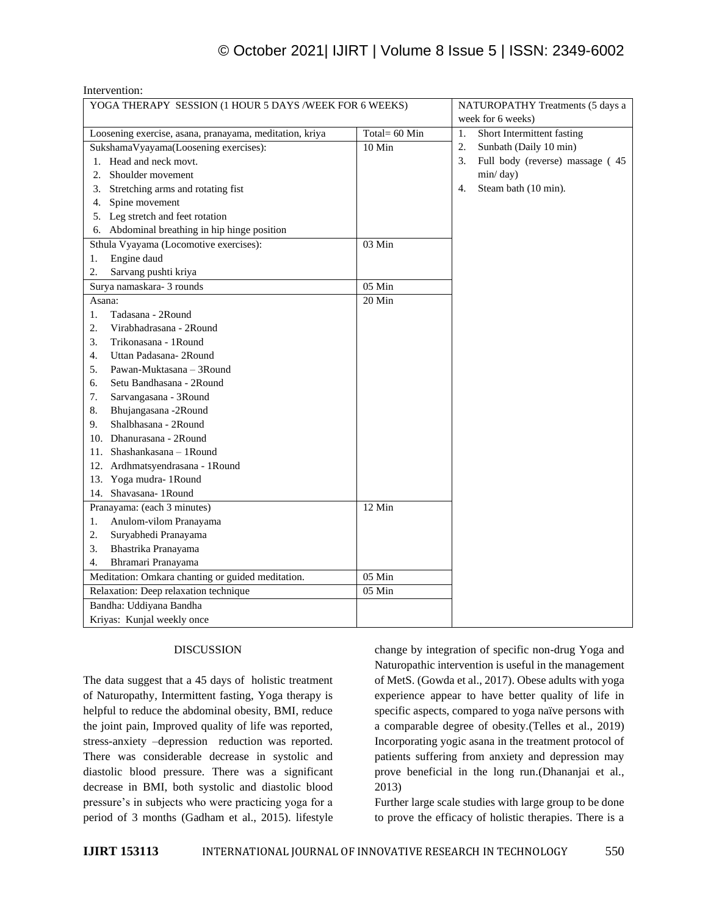# © October 2021| IJIRT | Volume 8 Issue 5 | ISSN: 2349-6002

| mei venuon.<br>YOGA THERAPY SESSION (1 HOUR 5 DAYS /WEEK FOR 6 WEEKS) |               | NATUROPATHY Treatments (5 days a       |
|-----------------------------------------------------------------------|---------------|----------------------------------------|
|                                                                       |               | week for 6 weeks)                      |
| Loosening exercise, asana, pranayama, meditation, kriya               | Total= 60 Min | Short Intermittent fasting<br>1.       |
| SukshamaVyayama(Loosening exercises):                                 | 10 Min        | 2.<br>Sunbath (Daily 10 min)           |
| 1. Head and neck movt.                                                |               | 3.<br>Full body (reverse) massage (45) |
| 2.<br>Shoulder movement                                               |               | min/day)                               |
| 3.<br>Stretching arms and rotating fist                               |               | Steam bath (10 min).<br>4.             |
| Spine movement<br>4.                                                  |               |                                        |
| Leg stretch and feet rotation<br>5.                                   |               |                                        |
| Abdominal breathing in hip hinge position<br>6.                       |               |                                        |
| Sthula Vyayama (Locomotive exercises):                                | 03 Min        |                                        |
| Engine daud<br>1.                                                     |               |                                        |
| 2.<br>Sarvang pushti kriya                                            |               |                                        |
| Surya namaskara- 3 rounds                                             | 05 Min        |                                        |
| Asana:                                                                | 20 Min        |                                        |
| 1.<br>Tadasana - 2Round                                               |               |                                        |
| 2.<br>Virabhadrasana - 2Round                                         |               |                                        |
| 3.<br>Trikonasana - 1 Round                                           |               |                                        |
| Uttan Padasana-2Round<br>4.                                           |               |                                        |
| Pawan-Muktasana - 3Round<br>5.                                        |               |                                        |
| Setu Bandhasana - 2Round<br>6.                                        |               |                                        |
| 7.<br>Sarvangasana - 3Round                                           |               |                                        |
| Bhujangasana -2Round<br>8.                                            |               |                                        |
| Shalbhasana - 2Round<br>9.                                            |               |                                        |
| 10. Dhanurasana - 2Round                                              |               |                                        |
| 11. Shashankasana - 1Round                                            |               |                                        |
| 12. Ardhmatsyendrasana - 1Round                                       |               |                                        |
| 13. Yoga mudra-1Round                                                 |               |                                        |
| 14. Shavasana- 1 Round                                                |               |                                        |
| Pranayama: (each 3 minutes)                                           | 12 Min        |                                        |
| Anulom-vilom Pranayama<br>1.                                          |               |                                        |
| 2.<br>Suryabhedi Pranayama                                            |               |                                        |
| 3.<br>Bhastrika Pranayama                                             |               |                                        |
| 4.<br>Bhramari Pranayama                                              |               |                                        |
| Meditation: Omkara chanting or guided meditation.                     | 05 Min        |                                        |
| Relaxation: Deep relaxation technique                                 | 05 Min        |                                        |
| Bandha: Uddiyana Bandha                                               |               |                                        |
| Kriyas: Kunjal weekly once                                            |               |                                        |

# DISCUSSION

Intervention:

The data suggest that a 45 days of holistic treatment of Naturopathy, Intermittent fasting, Yoga therapy is helpful to reduce the abdominal obesity, BMI, reduce the joint pain, Improved quality of life was reported, stress-anxiety –depression reduction was reported. There was considerable decrease in systolic and diastolic blood pressure. There was a significant decrease in BMI, both systolic and diastolic blood pressure's in subjects who were practicing yoga for a period of 3 months (Gadham et al., 2015). lifestyle change by integration of specific non-drug Yoga and Naturopathic intervention is useful in the management of MetS. (Gowda et al., 2017). Obese adults with yoga experience appear to have better quality of life in specific aspects, compared to yoga naïve persons with a comparable degree of obesity.(Telles et al., 2019) Incorporating yogic asana in the treatment protocol of patients suffering from anxiety and depression may prove beneficial in the long run.(Dhananjai et al., 2013)

Further large scale studies with large group to be done to prove the efficacy of holistic therapies. There is a